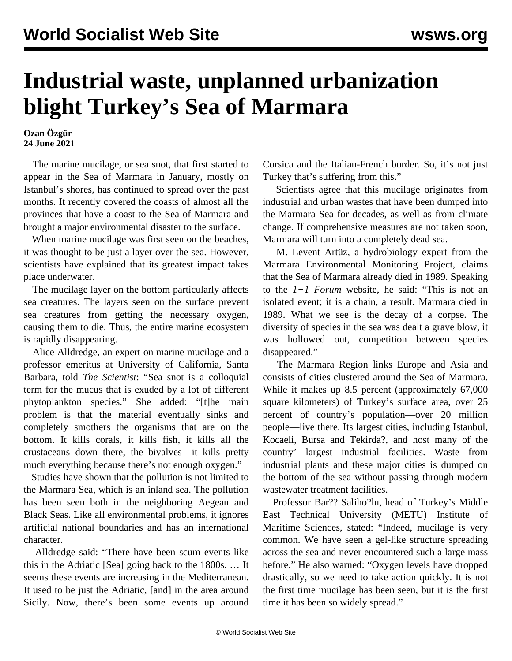## **Industrial waste, unplanned urbanization blight Turkey's Sea of Marmara**

**Ozan Özgür 24 June 2021**

 The marine mucilage, or sea snot, that first started to appear in the Sea of Marmara in January, mostly on Istanbul's shores, has continued to spread over the past months. It recently covered the coasts of almost all the provinces that have a coast to the Sea of Marmara and brought a major environmental disaster to the surface.

 When marine mucilage was first seen on the beaches, it was thought to be just a layer over the sea. However, scientists have explained that its greatest impact takes place underwater.

 The mucilage layer on the bottom particularly affects sea creatures. The layers seen on the surface prevent sea creatures from getting the necessary oxygen, causing them to die. Thus, the entire marine ecosystem is rapidly disappearing.

 Alice Alldredge, an expert on marine mucilage and a professor emeritus at University of California, Santa Barbara, told *The Scientist*: "Sea snot is a colloquial term for the mucus that is exuded by a lot of different phytoplankton species." She added: "[t]he main problem is that the material eventually sinks and completely smothers the organisms that are on the bottom. It kills corals, it kills fish, it kills all the crustaceans down there, the bivalves—it kills pretty much everything because there's not enough oxygen."

 Studies have shown that the pollution is not limited to the Marmara Sea, which is an inland sea. The pollution has been seen both in the neighboring Aegean and Black Seas. Like all environmental problems, it ignores artificial national boundaries and has an international character.

 Alldredge said: "There have been scum events like this in the Adriatic [Sea] going back to the 1800s. … It seems these events are increasing in the Mediterranean. It used to be just the Adriatic, [and] in the area around Sicily. Now, there's been some events up around Corsica and the Italian-French border. So, it's not just Turkey that's suffering from this."

 Scientists agree that this mucilage originates from industrial and urban wastes that have been dumped into the Marmara Sea for decades, as well as from climate change. If comprehensive measures are not taken soon, Marmara will turn into a completely dead sea.

 M. Levent Artüz, a hydrobiology expert from the Marmara Environmental Monitoring Project, claims that the Sea of Marmara already died in 1989. Speaking to the *1+1 Forum* website, he said: "This is not an isolated event; it is a chain, a result. Marmara died in 1989. What we see is the decay of a corpse. The diversity of species in the sea was dealt a grave blow, it was hollowed out, competition between species disappeared."

 The Marmara Region links Europe and Asia and consists of cities clustered around the Sea of Marmara. While it makes up 8.5 percent (approximately 67,000 square kilometers) of Turkey's surface area, over 25 percent of country's population—over 20 million people—live there. Its largest cities, including Istanbul, Kocaeli, Bursa and Tekirda?, and host many of the country' largest industrial facilities. Waste from industrial plants and these major cities is dumped on the bottom of the sea without passing through modern wastewater treatment facilities.

 Professor Bar?? Saliho?lu, head of Turkey's Middle East Technical University (METU) Institute of Maritime Sciences, stated: "Indeed, mucilage is very common. We have seen a gel-like structure spreading across the sea and never encountered such a large mass before." He also warned: "Oxygen levels have dropped drastically, so we need to take action quickly. It is not the first time mucilage has been seen, but it is the first time it has been so widely spread."